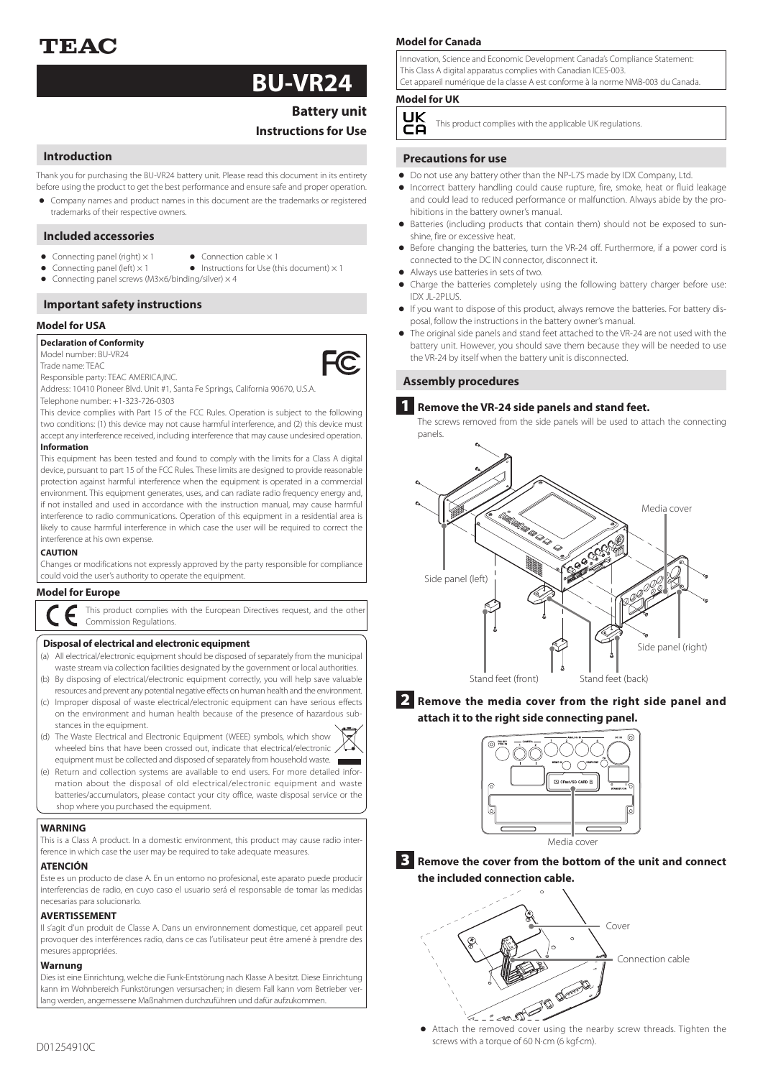# **BU-VR24**

## **Battery unit Instructions for Use**

## **Introduction**

Thank you for purchasing the BU-VR24 battery unit. Please read this document in its entirety before using the product to get the best performance and ensure safe and proper operation.

Company names and product names in this document are the trademarks or registered trademarks of their respective owners.

## **Included accessories**

- Connecting panel (right)  $\times$  1 **•** Connection cable  $\times$  1
	- Connecting panel (left)  $\times$  1  $\bullet$  Instructions for Use (this document)  $\times$  1
- $\bullet$  Connecting panel screws (M3x6/binding/silver)  $\times$  4

## **Important safety instructions**

### **Model for USA**

## **Declaration of Conformity**

Model number: BU-VR24

Trade name: TEAC

Responsible party: TEAC AMERICA,INC.

Address: 10410 Pioneer Blvd. Unit #1, Santa Fe Springs, California 90670, U.S.A. Telephone number: +1-323-726-0303

This device complies with Part 15 of the FCC Rules. Operation is subject to the following two conditions: (1) this device may not cause harmful interference, and (2) this device must accept any interference received, including interference that may cause undesired operation.

#### **Information**

This equipment has been tested and found to comply with the limits for a Class A digital device, pursuant to part 15 of the FCC Rules. These limits are designed to provide reasonable protection against harmful interference when the equipment is operated in a commercial environment. This equipment generates, uses, and can radiate radio frequency energy and, if not installed and used in accordance with the instruction manual, may cause harmful interference to radio communications. Operation of this equipment in a residential area is likely to cause harmful interference in which case the user will be required to correct the interference at his own expense.

#### **CAUTION**

Changes or modifications not expressly approved by the party responsible for compliance could void the user's authority to operate the equipment.

## **Model for Europe**

This product complies with the European Directives request, and the other Commission Regulations.

#### **Disposal of electrical and electronic equipment**

- (a) All electrical/electronic equipment should be disposed of separately from the municipal waste stream via collection facilities designated by the government or local authorities.
- (b) By disposing of electrical/electronic equipment correctly, you will help save valuable resources and prevent any potential negative effects on human health and the environment. (c) Improper disposal of waste electrical/electronic equipment can have serious effects
- on the environment and human health because of the presence of hazardous substances in the equipment.
- (d) The Waste Electrical and Electronic Equipment (WEEE) symbols, which show wheeled bins that have been crossed out, indicate that electrical/electronic  $\lambda$ equipment must be collected and disposed of separately from household waste.
- (e) Return and collection systems are available to end users. For more detailed information about the disposal of old electrical/electronic equipment and waste batteries/accumulators, please contact your city office, waste disposal service or the shop where you purchased the equipment.

#### **WARNING**

This is a Class A product. In a domestic environment, this product may cause radio interference in which case the user may be required to take adequate measures.

#### **ATENCIÓN**

Este es un producto de clase A. En un entorno no profesional, este aparato puede producir interferencias de radio, en cuyo caso el usuario será el responsable de tomar las medidas necesarias para solucionarlo.

#### **AVERTISSEMENT**

Il s'agit d'un produit de Classe A. Dans un environnement domestique, cet appareil peut provoquer des interférences radio, dans ce cas l'utilisateur peut être amené à prendre des mesures appropriées.

#### **Warnung**

Dies ist eine Einrichtung, welche die Funk-Entstörung nach Klasse A besitzt. Diese Einrichtung kann im Wohnbereich Funkstörungen versursachen; in diesem Fall kann vom Betrieber verlang werden, angemessene Maßnahmen durchzuführen und dafür aufzukommen.

Innovation, Science and Economic Development Canada's Compliance Statement: This Class A digital apparatus complies with Canadian ICES-003. Cet appareil numérique de la classe A est conforme à la norme NMB-003 du Canada.

## **Model for UK**

UK This product complies with the applicable UK regulations. СA

### **Precautions for use**

- o Do not use any battery other than the NP-L7S made by IDX Company, Ltd.
- o Incorrect battery handling could cause rupture, fire, smoke, heat or fluid leakage and could lead to reduced performance or malfunction. Always abide by the prohibitions in the battery owner's manual.
- Batteries (including products that contain them) should not be exposed to sunshine, fire or excessive heat.
- o Before changing the batteries, turn the VR-24 off. Furthermore, if a power cord is connected to the DC IN connector, disconnect it.
- Always use batteries in sets of two.
- o Charge the batteries completely using the following battery charger before use: IDX JL-2PLUS.
- o If you want to dispose of this product, always remove the batteries. For battery disposal, follow the instructions in the battery owner's manual.
- The original side panels and stand feet attached to the VR-24 are not used with the battery unit. However, you should save them because they will be needed to use the VR-24 by itself when the battery unit is disconnected.

## **Assembly procedures**

## 1 **Remove the VR-24 side panels and stand feet.**

The screws removed from the side panels will be used to attach the connecting panels.



**2** Remove the media cover from the right side panel and **attach it to the right side connecting panel.**



3 **Remove the cover from the bottom of the unit and connect the included connection cable.**



o Attach the removed cover using the nearby screw threads. Tighten the screws with a torque of 60 N·cm (6 kgf·cm). D01254910C